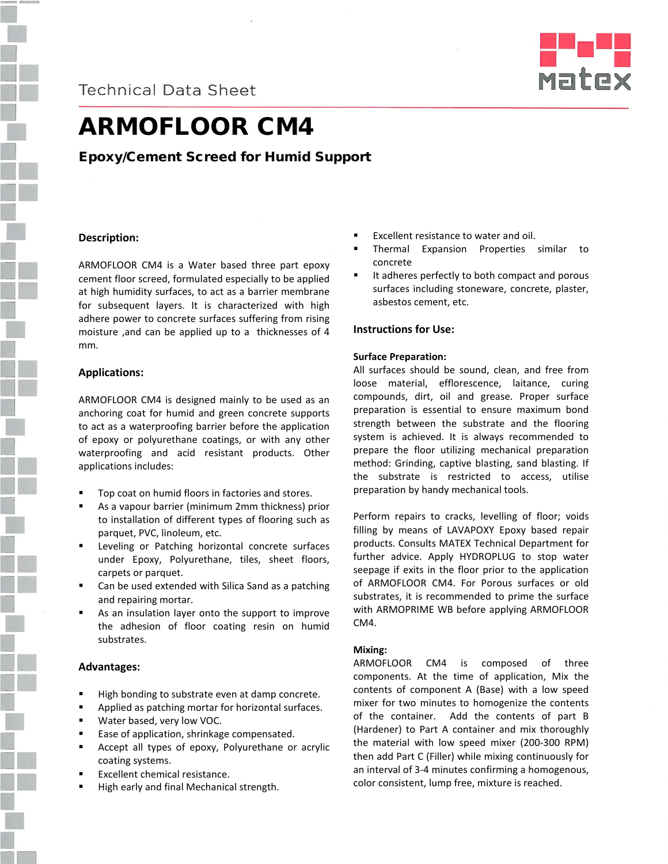

# ARMOFLOOR CM4

# Epoxy/Cement Screed for Humid Support

# **Description:**

ARMOFLOOR CM4 is a Water based three part epoxy cement floor screed, formulated especially to be applied at high humidity surfaces, to act as a barrier membrane for subsequent layers. It is characterized with high adhere power to concrete surfaces suffering from rising moisture ,and can be applied up to a thicknesses of 4 mm.

# **Applications:**

ARMOFLOOR CM4 is designed mainly to be used as an anchoring coat for humid and green concrete supports to act as a waterproofing barrier before the application of epoxy or polyurethane coatings, or with any other waterproofing and acid resistant products. Other applications includes:

- Top coat on humid floors in factories and stores.
- As a vapour barrier (minimum 2mm thickness) prior to installation of different types of flooring such as parquet, PVC, linoleum, etc.
- Leveling or Patching horizontal concrete surfaces under Epoxy, Polyurethane, tiles, sheet floors, carpets or parquet.
- Can be used extended with Silica Sand as a patching and repairing mortar.
- As an insulation layer onto the support to improve the adhesion of floor coating resin on humid substrates.

# **Advantages:**

- High bonding to substrate even at damp concrete.
- Applied as patching mortar for horizontal surfaces.
- Water based, very low VOC.
- **Ease of application, shrinkage compensated.**
- Accept all types of epoxy, Polyurethane or acrylic coating systems.
- Excellent chemical resistance.
- High early and final Mechanical strength.
- Excellent resistance to water and oil.
- Thermal Expansion Properties similar to concrete
- It adheres perfectly to both compact and porous surfaces including stoneware, concrete, plaster, asbestos cement, etc.

# **Instructions for Use:**

# **Surface Preparation:**

All surfaces should be sound, clean, and free from loose material, efflorescence, laitance, curing compounds, dirt, oil and grease. Proper surface preparation is essential to ensure maximum bond strength between the substrate and the flooring system is achieved. It is always recommended to prepare the floor utilizing mechanical preparation method: Grinding, captive blasting, sand blasting. If the substrate is restricted to access, utilise preparation by handy mechanical tools.

Perform repairs to cracks, levelling of floor; voids filling by means of LAVAPOXY Epoxy based repair products. Consults MATEX Technical Department for further advice. Apply HYDROPLUG to stop water seepage if exits in the floor prior to the application of ARMOFLOOR CM4. For Porous surfaces or old substrates, it is recommended to prime the surface with ARMOPRIME WB before applying ARMOFLOOR CM4.

# **Mixing:**

ARMOFLOOR CM4 is composed of three components. At the time of application, Mix the contents of component A (Base) with a low speed mixer for two minutes to homogenize the contents of the container. Add the contents of part B (Hardener) to Part A container and mix thoroughly the material with low speed mixer (200-300 RPM) then add Part C (Filler) while mixing continuously for an interval of 3-4 minutes confirming a homogenous, color consistent, lump free, mixture is reached.